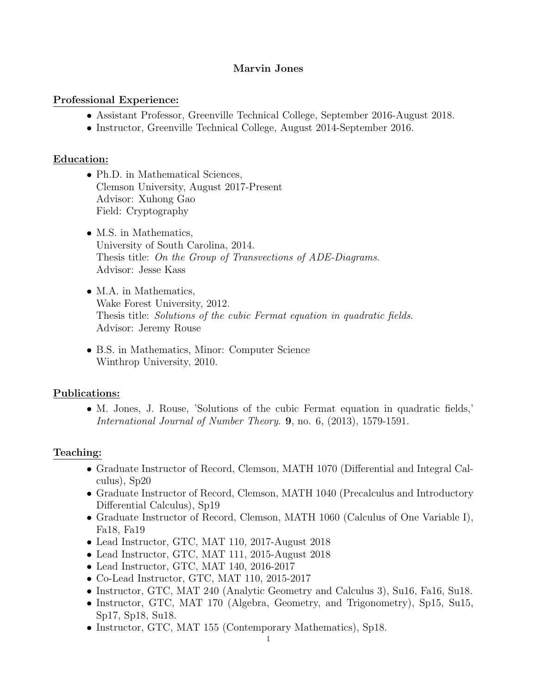#### Marvin Jones

#### Professional Experience:

- Assistant Professor, Greenville Technical College, September 2016-August 2018.
- Instructor, Greenville Technical College, August 2014-September 2016.

#### Education:

- Ph.D. in Mathematical Sciences, Clemson University, August 2017-Present Advisor: Xuhong Gao Field: Cryptography
- M.S. in Mathematics, University of South Carolina, 2014. Thesis title: On the Group of Transvections of ADE-Diagrams. Advisor: Jesse Kass
- M.A. in Mathematics, Wake Forest University, 2012. Thesis title: Solutions of the cubic Fermat equation in quadratic fields. Advisor: Jeremy Rouse
- B.S. in Mathematics, Minor: Computer Science Winthrop University, 2010.

#### Publications:

• M. Jones, J. Rouse, 'Solutions of the cubic Fermat equation in quadratic fields,' International Journal of Number Theory. 9, no. 6, (2013), 1579-1591.

#### Teaching:

- Graduate Instructor of Record, Clemson, MATH 1070 (Differential and Integral Calculus), Sp20
- Graduate Instructor of Record, Clemson, MATH 1040 (Precalculus and Introductory Differential Calculus), Sp19
- Graduate Instructor of Record, Clemson, MATH 1060 (Calculus of One Variable I), Fa18, Fa19
- Lead Instructor, GTC, MAT 110, 2017-August 2018
- Lead Instructor, GTC, MAT 111, 2015-August 2018
- Lead Instructor, GTC, MAT 140, 2016-2017
- Co-Lead Instructor, GTC, MAT 110, 2015-2017
- Instructor, GTC, MAT 240 (Analytic Geometry and Calculus 3), Su16, Fa16, Su18.
- Instructor, GTC, MAT 170 (Algebra, Geometry, and Trigonometry), Sp15, Su15, Sp17, Sp18, Su18.
- Instructor, GTC, MAT 155 (Contemporary Mathematics), Sp18.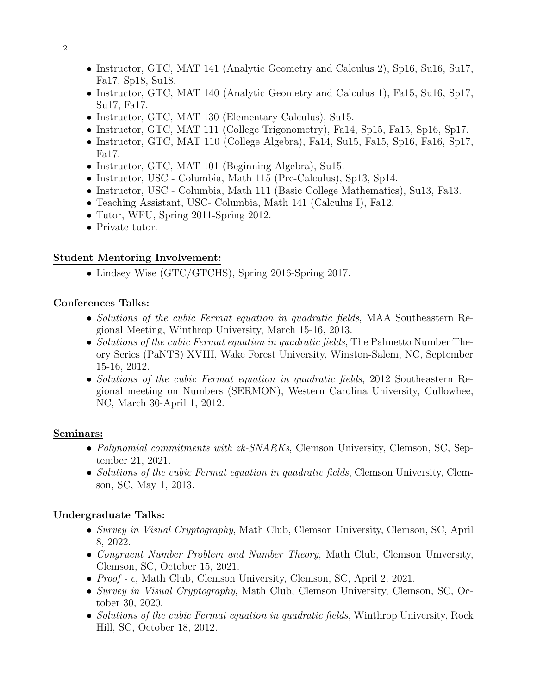- Instructor, GTC, MAT 141 (Analytic Geometry and Calculus 2), Sp16, Su16, Su17, Fa17, Sp18, Su18.
- Instructor, GTC, MAT 140 (Analytic Geometry and Calculus 1), Fa15, Su16, Sp17, Su17, Fa17.
- Instructor, GTC, MAT 130 (Elementary Calculus), Su15.
- Instructor, GTC, MAT 111 (College Trigonometry), Fa14, Sp15, Fa15, Sp16, Sp17.
- Instructor, GTC, MAT 110 (College Algebra), Fa14, Su15, Fa15, Sp16, Fa16, Sp17, Fa17.
- Instructor, GTC, MAT 101 (Beginning Algebra), Su15.
- Instructor, USC Columbia, Math 115 (Pre-Calculus), Sp13, Sp14.
- Instructor, USC Columbia, Math 111 (Basic College Mathematics), Su13, Fa13.
- Teaching Assistant, USC- Columbia, Math 141 (Calculus I), Fa12.
- Tutor, WFU, Spring 2011-Spring 2012.
- Private tutor.

## Student Mentoring Involvement:

• Lindsey Wise (GTC/GTCHS), Spring 2016-Spring 2017.

## Conferences Talks:

- Solutions of the cubic Fermat equation in quadratic fields, MAA Southeastern Regional Meeting, Winthrop University, March 15-16, 2013.
- Solutions of the cubic Fermat equation in quadratic fields, The Palmetto Number Theory Series (PaNTS) XVIII, Wake Forest University, Winston-Salem, NC, September 15-16, 2012.
- Solutions of the cubic Fermat equation in quadratic fields, 2012 Southeastern Regional meeting on Numbers (SERMON), Western Carolina University, Cullowhee, NC, March 30-April 1, 2012.

### Seminars:

- Polynomial commitments with zk-SNARKs, Clemson University, Clemson, SC, September 21, 2021.
- Solutions of the cubic Fermat equation in quadratic fields, Clemson University, Clemson, SC, May 1, 2013.

# Undergraduate Talks:

- Survey in Visual Cryptography, Math Club, Clemson University, Clemson, SC, April 8, 2022.
- Congruent Number Problem and Number Theory, Math Club, Clemson University, Clemson, SC, October 15, 2021.
- $Proof$   $\epsilon$ , Math Club, Clemson University, Clemson, SC, April 2, 2021.
- Survey in Visual Cryptography, Math Club, Clemson University, Clemson, SC, October 30, 2020.
- Solutions of the cubic Fermat equation in quadratic fields, Winthrop University, Rock Hill, SC, October 18, 2012.